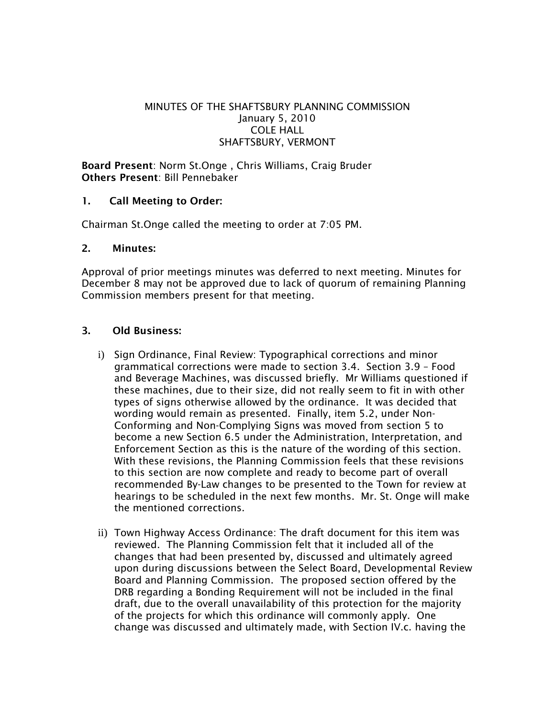## MINUTES OF THE SHAFTSBURY PLANNING COMMISSION January 5, 2010 COLE HALL SHAFTSBURY, VERMONT

Board Present: Norm St.Onge , Chris Williams, Craig Bruder Others Present: Bill Pennebaker

## 1. Call Meeting to Order:

Chairman St.Onge called the meeting to order at 7:05 PM.

#### 2. Minutes:

Approval of prior meetings minutes was deferred to next meeting. Minutes for December 8 may not be approved due to lack of quorum of remaining Planning Commission members present for that meeting.

## 3. Old Business:

- i) Sign Ordinance, Final Review: Typographical corrections and minor grammatical corrections were made to section 3.4. Section 3.9 – Food and Beverage Machines, was discussed briefly. Mr Williams questioned if these machines, due to their size, did not really seem to fit in with other types of signs otherwise allowed by the ordinance. It was decided that wording would remain as presented. Finally, item 5.2, under Non-Conforming and Non-Complying Signs was moved from section 5 to become a new Section 6.5 under the Administration, Interpretation, and Enforcement Section as this is the nature of the wording of this section. With these revisions, the Planning Commission feels that these revisions to this section are now complete and ready to become part of overall recommended By-Law changes to be presented to the Town for review at hearings to be scheduled in the next few months. Mr. St. Onge will make the mentioned corrections.
- ii) Town Highway Access Ordinance: The draft document for this item was reviewed. The Planning Commission felt that it included all of the changes that had been presented by, discussed and ultimately agreed upon during discussions between the Select Board, Developmental Review Board and Planning Commission. The proposed section offered by the DRB regarding a Bonding Requirement will not be included in the final draft, due to the overall unavailability of this protection for the majority of the projects for which this ordinance will commonly apply. One change was discussed and ultimately made, with Section IV.c. having the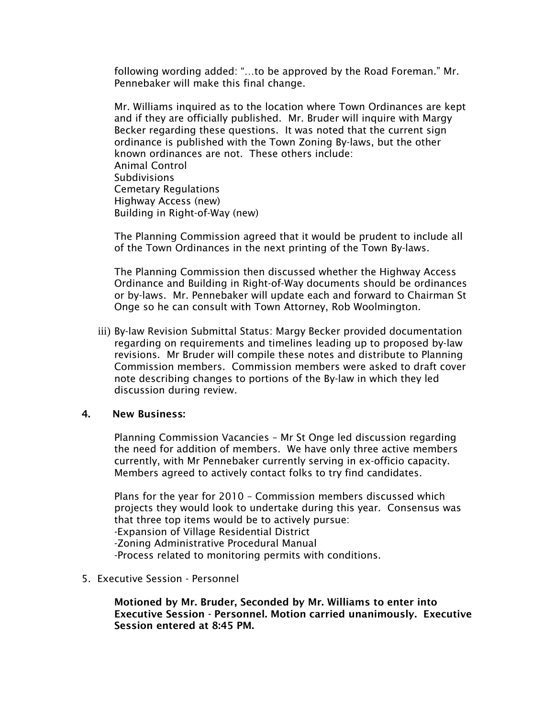following wording added: "…to be approved by the Road Foreman." Mr. Pennebaker will make this final change.

Mr. Williams inquired as to the location where Town Ordinances are kept and if they are officially published. Mr. Bruder will inquire with Margy Becker regarding these questions. It was noted that the current sign ordinance is published with the Town Zoning By-laws, but the other known ordinances are not. These others include: Animal Control Subdivisions Cemetary Regulations Highway Access (new) Building in Right-of-Way (new)

The Planning Commission agreed that it would be prudent to include all of the Town Ordinances in the next printing of the Town By-laws.

The Planning Commission then discussed whether the Highway Access Ordinance and Building in Right-of-Way documents should be ordinances or by-laws. Mr. Pennebaker will update each and forward to Chairman St Onge so he can consult with Town Attorney, Rob Woolmington.

iii) By-law Revision Submittal Status: Margy Becker provided documentation regarding on requirements and timelines leading up to proposed by-law revisions. Mr Bruder will compile these notes and distribute to Planning Commission members. Commission members were asked to draft cover note describing changes to portions of the By-law in which they led discussion during review.

#### 4. New Business:

Planning Commission Vacancies – Mr St Onge led discussion regarding the need for addition of members. We have only three active members currently, with Mr Pennebaker currently serving in ex-officio capacity. Members agreed to actively contact folks to try find candidates.

Plans for the year for 2010 – Commission members discussed which projects they would look to undertake during this year. Consensus was that three top items would be to actively pursue: -Expansion of Village Residential District -Zoning Administrative Procedural Manual -Process related to monitoring permits with conditions.

#### 5. Executive Session - Personnel

Motioned by Mr. Bruder, Seconded by Mr. Williams to enter into Executive Session - Personnel. Motion carried unanimously. Executive Session entered at 8:45 PM.